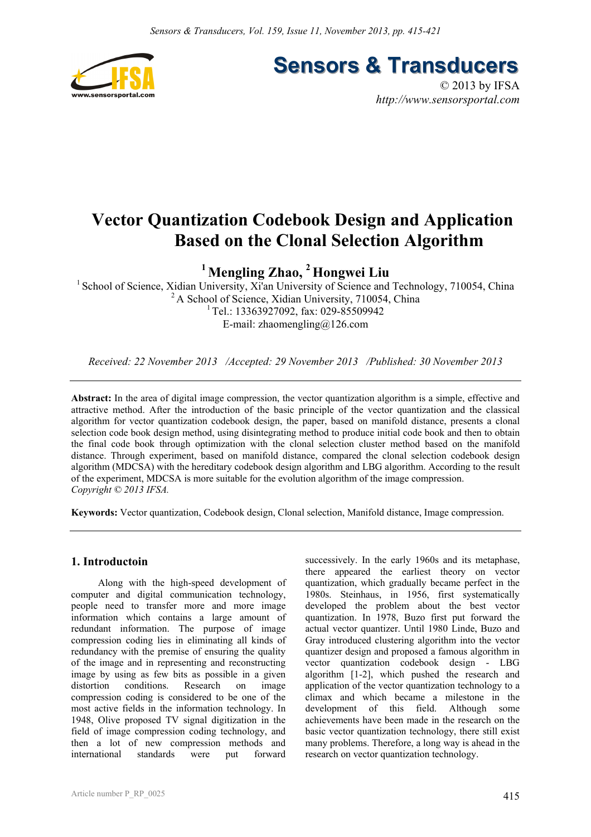

**Sensors & Transducers** 

© 2013 by IFSA *http://www.sensorsportal.com*

# **Vector Quantization Codebook Design and Application Based on the Clonal Selection Algorithm**

**1 Mengling Zhao, 2 Hongwei Liu** 

<sup>1</sup> School of Science, Xidian University, Xi'an University of Science and Technology, 710054, China <sup>2</sup> A School of Science, Xidian University, 710054, China  $1$ Tel.: 13363927092, fax: 029-85509942 E-mail: zhaomengling $@126$ .com

*Received: 22 November 2013 /Accepted: 29 November 2013 /Published: 30 November 2013* 

**Abstract:** In the area of digital image compression, the vector quantization algorithm is a simple, effective and attractive method. After the introduction of the basic principle of the vector quantization and the classical algorithm for vector quantization codebook design, the paper, based on manifold distance, presents a clonal selection code book design method, using disintegrating method to produce initial code book and then to obtain the final code book through optimization with the clonal selection cluster method based on the manifold distance. Through experiment, based on manifold distance, compared the clonal selection codebook design algorithm (MDCSA) with the hereditary codebook design algorithm and LBG algorithm. According to the result of the experiment, MDCSA is more suitable for the evolution algorithm of the image compression. *Copyright © 2013 IFSA.*

**Keywords:** Vector quantization, Codebook design, Clonal selection, Manifold distance, Image compression.

# **1. Introductoin**

Along with the high-speed development of computer and digital communication technology, people need to transfer more and more image information which contains a large amount of redundant information. The purpose of image compression coding lies in eliminating all kinds of redundancy with the premise of ensuring the quality of the image and in representing and reconstructing image by using as few bits as possible in a given distortion conditions. Research on image compression coding is considered to be one of the most active fields in the information technology. In 1948, Olive proposed TV signal digitization in the field of image compression coding technology, and then a lot of new compression methods and international standards were put forward successively. In the early 1960s and its metaphase, there appeared the earliest theory on vector quantization, which gradually became perfect in the 1980s. Steinhaus, in 1956, first systematically developed the problem about the best vector quantization. In 1978, Buzo first put forward the actual vector quantizer. Until 1980 Linde, Buzo and Gray introduced clustering algorithm into the vector quantizer design and proposed a famous algorithm in vector quantization codebook design - LBG algorithm [1-2], which pushed the research and application of the vector quantization technology to a climax and which became a milestone in the development of this field. Although some achievements have been made in the research on the basic vector quantization technology, there still exist many problems. Therefore, a long way is ahead in the research on vector quantization technology.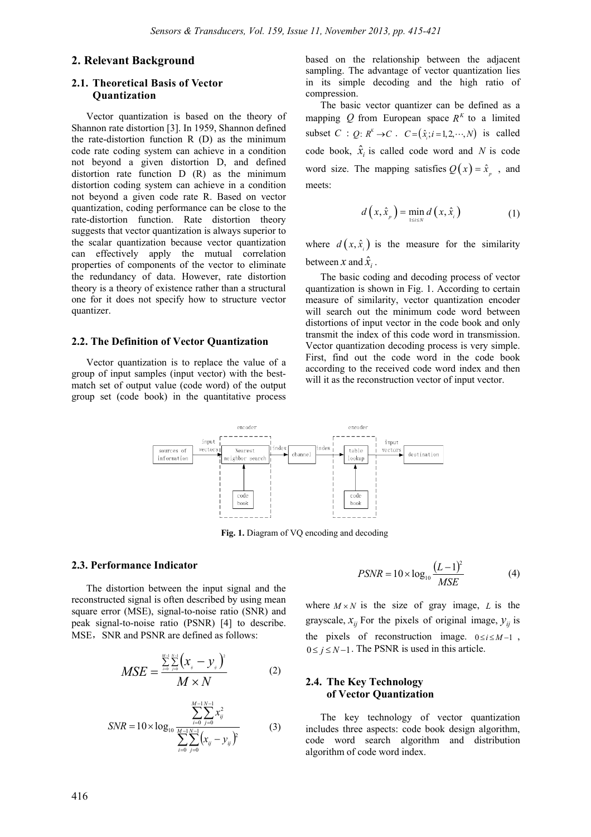# **2. Relevant Background**

# **2.1. Theoretical Basis of Vector Quantization**

Vector quantization is based on the theory of Shannon rate distortion [3]. In 1959, Shannon defined the rate-distortion function R (D) as the minimum code rate coding system can achieve in a condition not beyond a given distortion D, and defined distortion rate function D (R) as the minimum distortion coding system can achieve in a condition not beyond a given code rate R. Based on vector quantization, coding performance can be close to the rate-distortion function. Rate distortion theory suggests that vector quantization is always superior to the scalar quantization because vector quantization can effectively apply the mutual correlation properties of components of the vector to eliminate the redundancy of data. However, rate distortion theory is a theory of existence rather than a structural one for it does not specify how to structure vector quantizer.

#### **2.2. The Definition of Vector Quantization**

Vector quantization is to replace the value of a group of input samples (input vector) with the bestmatch set of output value (code word) of the output group set (code book) in the quantitative process

based on the relationship between the adjacent sampling. The advantage of vector quantization lies in its simple decoding and the high ratio of compression.

The basic vector quantizer can be defined as a mapping *Q* from European space  $R^{K}$  to a limited subset *C* : *Q*:  $R^k \rightarrow C$ .  $C = (\hat{x}_i; i = 1, 2, \dots, N)$  is called code book,  $\hat{x}$ <sup>*i*</sup> is called code word and *N* is code word size. The mapping satisfies  $Q(x) = \hat{x}_n$ , and meets:

$$
d\left(x,\hat{x}_p\right) = \min_{1 \le i \le N} d\left(x,\hat{x}_i\right) \tag{1}
$$

where  $d(x, \hat{x})$  is the measure for the similarity between *x* and  $\hat{x}$ <sub>i</sub>.

The basic coding and decoding process of vector quantization is shown in Fig. 1. According to certain measure of similarity, vector quantization encoder will search out the minimum code word between distortions of input vector in the code book and only transmit the index of this code word in transmission. Vector quantization decoding process is very simple. First, find out the code word in the code book according to the received code word index and then will it as the reconstruction vector of input vector.



**Fig. 1.** Diagram of VQ encoding and decoding

#### **2.3. Performance Indicator**

The distortion between the input signal and the reconstructed signal is often described by using mean square error (MSE), signal-to-noise ratio (SNR) and peak signal-to-noise ratio (PSNR) [4] to describe. MSE, SNR and PSNR are defined as follows:

$$
MSE = \frac{\sum_{i=0}^{M-1} \sum_{j=0}^{N-1} (x_j - y_j)^2}{M \times N}
$$
 (2)

$$
SNR = 10 \times \log_{10} \frac{\sum_{i=0}^{M-1} \sum_{j=0}^{N-1} x_{ij}^{2}}{\sum_{i=0}^{M-1} \sum_{j=0}^{N-1} (x_{ij} - y_{ij})^{2}}
$$
(3)

$$
PSNR = 10 \times \log_{10} \frac{(L-1)^2}{MSE}
$$
 (4)

where  $M \times N$  is the size of gray image, *L* is the grayscale,  $x_{ij}$  For the pixels of original image,  $y_{ij}$  is the pixels of reconstruction image.  $0 \le i \le M-1$ ,  $0 \leq i \leq N-1$ . The PSNR is used in this article.

# **2.4. The Key Technology of Vector Quantization**

The key technology of vector quantization includes three aspects: code book design algorithm, code word search algorithm and distribution algorithm of code word index.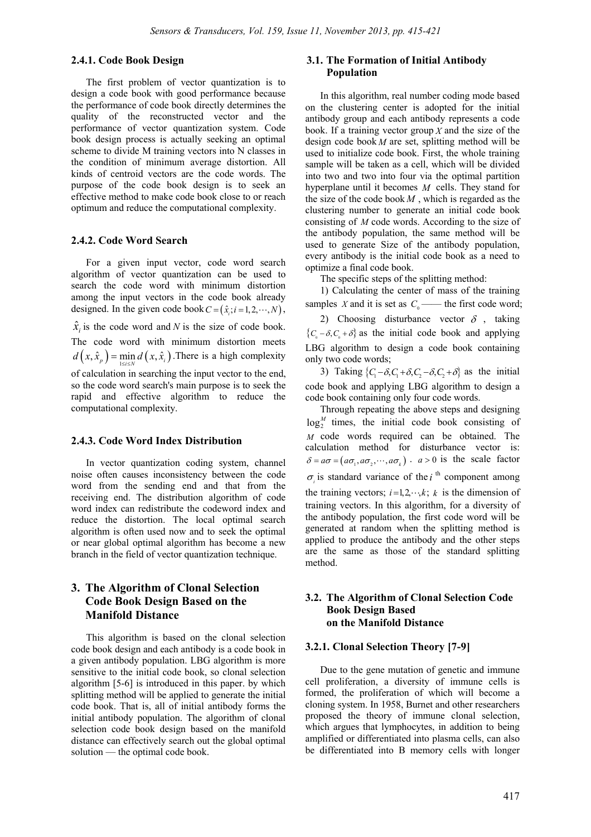#### **2.4.1. Code Book Design**

The first problem of vector quantization is to design a code book with good performance because the performance of code book directly determines the quality of the reconstructed vector and the performance of vector quantization system. Code book design process is actually seeking an optimal scheme to divide M training vectors into N classes in the condition of minimum average distortion. All kinds of centroid vectors are the code words. The purpose of the code book design is to seek an effective method to make code book close to or reach optimum and reduce the computational complexity.

#### **2.4.2. Code Word Search**

For a given input vector, code word search algorithm of vector quantization can be used to search the code word with minimum distortion among the input vectors in the code book already designed. In the given code book  $C = (\hat{x}_i; i = 1, 2, \dots, N)$ ,  $\hat{x}$  is the code word and *N* is the size of code book. The code word with minimum distortion meets  $d(x, \hat{x}_p) = \min_{1 \le i \le N} d(x, \hat{x}_i)$ . There is a high complexity of calculation in searching the input vector to the end, so the code word search's main purpose is to seek the rapid and effective algorithm to reduce the computational complexity.

#### **2.4.3. Code Word Index Distribution**

In vector quantization coding system, channel noise often causes inconsistency between the code word from the sending end and that from the receiving end. The distribution algorithm of code word index can redistribute the codeword index and reduce the distortion. The local optimal search algorithm is often used now and to seek the optimal or near global optimal algorithm has become a new branch in the field of vector quantization technique.

# **3. The Algorithm of Clonal Selection Code Book Design Based on the Manifold Distance**

This algorithm is based on the clonal selection code book design and each antibody is a code book in a given antibody population. LBG algorithm is more sensitive to the initial code book, so clonal selection algorithm [5-6] is introduced in this paper. by which splitting method will be applied to generate the initial code book. That is, all of initial antibody forms the initial antibody population. The algorithm of clonal selection code book design based on the manifold distance can effectively search out the global optimal solution — the optimal code book.

# **3.1. The Formation of Initial Antibody Population**

In this algorithm, real number coding mode based on the clustering center is adopted for the initial antibody group and each antibody represents a code book. If a training vector group *X* and the size of the design code book *M* are set, splitting method will be used to initialize code book. First, the whole training sample will be taken as a cell, which will be divided into two and two into four via the optimal partition hyperplane until it becomes *M* cells. They stand for the size of the code book *M* , which is regarded as the clustering number to generate an initial code book consisting of *M* code words. According to the size of the antibody population, the same method will be used to generate Size of the antibody population, every antibody is the initial code book as a need to optimize a final code book.

The specific steps of the splitting method:

1) Calculating the center of mass of the training samples *X* and it is set as  $C_0$ —— the first code word; 2) Choosing disturbance vector  $\delta$ , taking

 ${C<sub>c</sub> - \delta, C<sub>c</sub> + \delta}$  as the initial code book and applying LBG algorithm to design a code book containing only two code words;

3) Taking  $\{C_1 - \delta, C_1 + \delta, C_2 - \delta, C_2 + \delta\}$  as the initial code book and applying LBG algorithm to design a code book containing only four code words.

Through repeating the above steps and designing  $log_2^M$  times, the initial code book consisting of *M* code words required can be obtained. The calculation method for disturbance vector is:  $\delta = a\sigma = (a\sigma_1, a\sigma_2, \cdots, a\sigma_k)$ .  $a > 0$  is the scale factor  $\sigma_i$  is standard variance of the *i*<sup>th</sup> component among the training vectors;  $i=1,2,\dots,k$ ; *k* is the dimension of training vectors. In this algorithm, for a diversity of the antibody population, the first code word will be generated at random when the splitting method is applied to produce the antibody and the other steps are the same as those of the standard splitting method.

# **3.2. The Algorithm of Clonal Selection Code Book Design Based on the Manifold Distance**

## **3.2.1. Clonal Selection Theory [7-9]**

Due to the gene mutation of genetic and immune cell proliferation, a diversity of immune cells is formed, the proliferation of which will become a cloning system. In 1958, Burnet and other researchers proposed the theory of immune clonal selection, which argues that lymphocytes, in addition to being amplified or differentiated into plasma cells, can also be differentiated into B memory cells with longer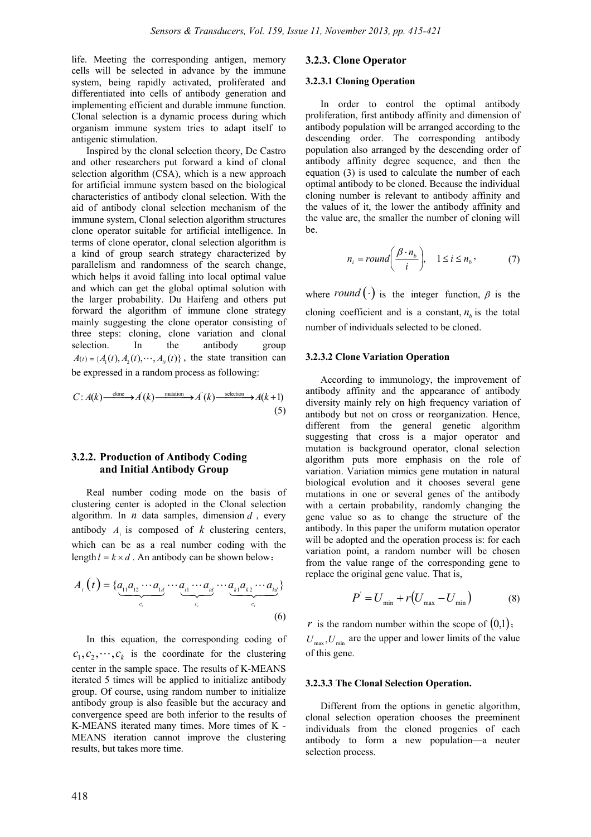life. Meeting the corresponding antigen, memory cells will be selected in advance by the immune system, being rapidly activated, proliferated and differentiated into cells of antibody generation and implementing efficient and durable immune function. Clonal selection is a dynamic process during which organism immune system tries to adapt itself to antigenic stimulation.

Inspired by the clonal selection theory, De Castro and other researchers put forward a kind of clonal selection algorithm (CSA), which is a new approach for artificial immune system based on the biological characteristics of antibody clonal selection. With the aid of antibody clonal selection mechanism of the immune system, Clonal selection algorithm structures clone operator suitable for artificial intelligence. In terms of clone operator, clonal selection algorithm is a kind of group search strategy characterized by parallelism and randomness of the search change, which helps it avoid falling into local optimal value and which can get the global optimal solution with the larger probability. Du Haifeng and others put forward the algorithm of immune clone strategy mainly suggesting the clone operator consisting of three steps: cloning, clone variation and clonal selection. In the antibody group  $A(t) = {A<sub>i</sub>(t), A<sub>i</sub>(t),..., A<sub>n</sub>(t)}$ , the state transition can be expressed in a random process as following:

$$
C: A(k) \xrightarrow{\text{clone}} A^{'}(k) \xrightarrow{\text{mutation}} A^{''}(k) \xrightarrow{\text{selection}} A(k+1)
$$
\n(5)

# **3.2.2. Production of Antibody Coding and Initial Antibody Group**

Real number coding mode on the basis of clustering center is adopted in the Clonal selection algorithm. In  $n$  data samples, dimension  $d$ , every antibody  $A_i$  is composed of  $k$  clustering centers, which can be as a real number coding with the length  $l = k \times d$ . An antibody can be shown below:

$$
A_i(t) = \{ \underbrace{a_{i1}a_{i2}\cdots a_{i1}}_{c_i} \cdots \underbrace{a_{i1}\cdots a_{id}}_{c_i} \cdots \underbrace{a_{k1}a_{k2}\cdots a_{kd}}_{c_k} \}
$$
\n
$$
(6)
$$

In this equation, the corresponding coding of  $c_1, c_2, \dots, c_k$  is the coordinate for the clustering center in the sample space. The results of K-MEANS iterated 5 times will be applied to initialize antibody group. Of course, using random number to initialize antibody group is also feasible but the accuracy and convergence speed are both inferior to the results of K-MEANS iterated many times. More times of K - MEANS iteration cannot improve the clustering results, but takes more time.

## **3.2.3. Clone Operator**

#### **3.2.3.1 Cloning Operation**

In order to control the optimal antibody proliferation, first antibody affinity and dimension of antibody population will be arranged according to the descending order. The corresponding antibody population also arranged by the descending order of antibody affinity degree sequence, and then the equation (3) is used to calculate the number of each optimal antibody to be cloned. Because the individual cloning number is relevant to antibody affinity and the values of it, the lower the antibody affinity and the value are, the smaller the number of cloning will be.

$$
n_i = round\left(\frac{\beta \cdot n_b}{i}\right), \quad 1 \le i \le n_b,
$$
 (7)

where *round* ( $\cdot$ ) is the integer function,  $\beta$  is the cloning coefficient and is a constant,  $n<sub>n</sub>$  is the total number of individuals selected to be cloned.

#### **3.2.3.2 Clone Variation Operation**

According to immunology, the improvement of antibody affinity and the appearance of antibody diversity mainly rely on high frequency variation of antibody but not on cross or reorganization. Hence, different from the general genetic algorithm suggesting that cross is a major operator and mutation is background operator, clonal selection algorithm puts more emphasis on the role of variation. Variation mimics gene mutation in natural biological evolution and it chooses several gene mutations in one or several genes of the antibody with a certain probability, randomly changing the gene value so as to change the structure of the antibody. In this paper the uniform mutation operator will be adopted and the operation process is: for each variation point, a random number will be chosen from the value range of the corresponding gene to replace the original gene value. That is,

$$
P' = U_{\min} + r(U_{\max} - U_{\min})
$$
 (8)

*r* is the random number within the scope of  $(0,1)$ ;  $U_{\text{max}}$ ,  $U_{\text{min}}$  are the upper and lower limits of the value of this gene.

#### **3.2.3.3 The Clonal Selection Operation.**

Different from the options in genetic algorithm, clonal selection operation chooses the preeminent individuals from the cloned progenies of each antibody to form a new population—a neuter selection process.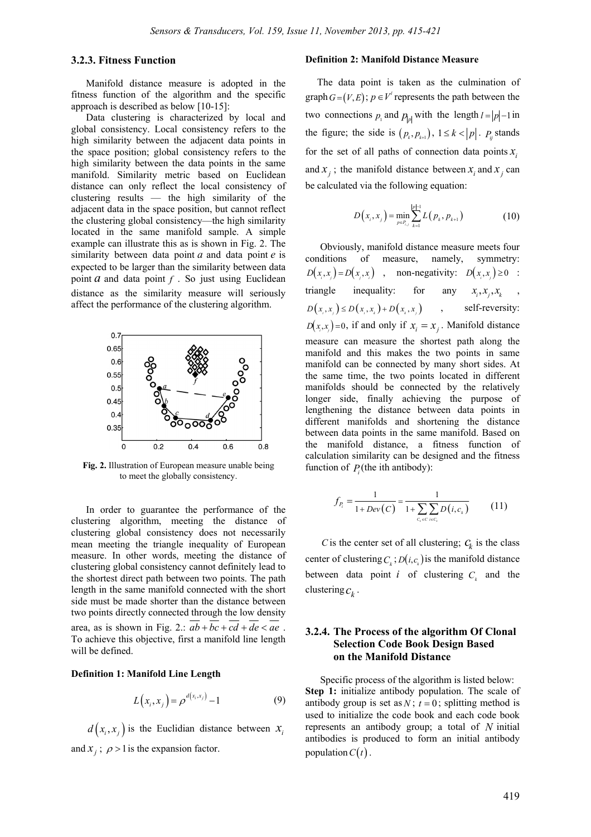# **3.2.3. Fitness Function**

Manifold distance measure is adopted in the fitness function of the algorithm and the specific approach is described as below [10-15]:

Data clustering is characterized by local and global consistency. Local consistency refers to the high similarity between the adjacent data points in the space position; global consistency refers to the high similarity between the data points in the same manifold. Similarity metric based on Euclidean distance can only reflect the local consistency of clustering results — the high similarity of the adjacent data in the space position, but cannot reflect the clustering global consistency—the high similarity located in the same manifold sample. A simple example can illustrate this as is shown in Fig. 2. The similarity between data point *a* and data point *e* is expected to be larger than the similarity between data point  $a$  and data point  $f$ . So just using Euclidean distance as the similarity measure will seriously affect the performance of the clustering algorithm.



**Fig. 2.** Illustration of European measure unable being to meet the globally consistency.

In order to guarantee the performance of the clustering algorithm, meeting the distance of clustering global consistency does not necessarily mean meeting the triangle inequality of European measure. In other words, meeting the distance of clustering global consistency cannot definitely lead to the shortest direct path between two points. The path length in the same manifold connected with the short side must be made shorter than the distance between two points directly connected through the low density area, as is shown in Fig. 2.:  $ab + bc + cd + de < ae$ . To achieve this objective, first a manifold line length will be defined.

#### **Definition 1: Manifold Line Length**

$$
L(x_i, x_j) = \rho^{d(x_i, x_j)} - 1
$$
 (9)

 $d(x_i, x_i)$  is the Euclidian distance between  $x_i$ and  $x_i$ ;  $\rho > 1$  is the expansion factor.

#### **Definition 2: Manifold Distance Measure**

The data point is taken as the culmination of graph  $G = (V, E)$ ;  $p \in V'$  represents the path between the two connections  $p_1$  and  $p_{|p|}$  with the length  $l = |p|-1$  in the figure; the side is  $(p_k, p_{k+1})$ ,  $1 \le k < |p|$ .  $P_{ij}$  stands for the set of all paths of connection data points  $x_i$ and  $x_i$ ; the manifold distance between  $x_i$  and  $x_j$  can be calculated via the following equation:

$$
D(x_i, x_j) = \min_{p \in P_{i,j}} \sum_{k=1}^{|p|-1} L(p_k, p_{k+1})
$$
 (10)

Obviously, manifold distance measure meets four conditions of measure, namely, symmetry:  $D(x, x) = D(x, x)$ , non-negativity:  $D(x, x) \ge 0$ : triangle inequality: for any  $x_i, x_i, x_k$  $D(x_i, x_i) \le D(x_i, x_i) + D(x_i, x_i)$ , self-reversity:  $D(x, x) = 0$ , if and only if  $x_i = x_i$ . Manifold distance measure can measure the shortest path along the manifold and this makes the two points in same manifold can be connected by many short sides. At the same time, the two points located in different manifolds should be connected by the relatively longer side, finally achieving the purpose of lengthening the distance between data points in different manifolds and shortening the distance between data points in the same manifold. Based on the manifold distance, a fitness function of calculation similarity can be designed and the fitness function of  $P_i$ (the ith antibody):

$$
f_{P_i} = \frac{1}{1 + Dev(C)} = \frac{1}{1 + \sum_{c_i \in C} \sum_{i \in C_i} D(i, c_i)}
$$
(11)

*C* is the center set of all clustering;  $C_k$  is the class center of clustering  $C_k$ ;  $D(i, c_k)$  is the manifold distance between data point *i* of clustering  $C_k$  and the clustering  $c_k$ .

# **3.2.4. The Process of the algorithm Of Clonal Selection Code Book Design Based on the Manifold Distance**

Specific process of the algorithm is listed below: **Step 1:** initialize antibody population. The scale of antibody group is set as  $N$ ;  $t = 0$ ; splitting method is used to initialize the code book and each code book represents an antibody group; a total of *N* initial antibodies is produced to form an initial antibody population  $C(t)$ .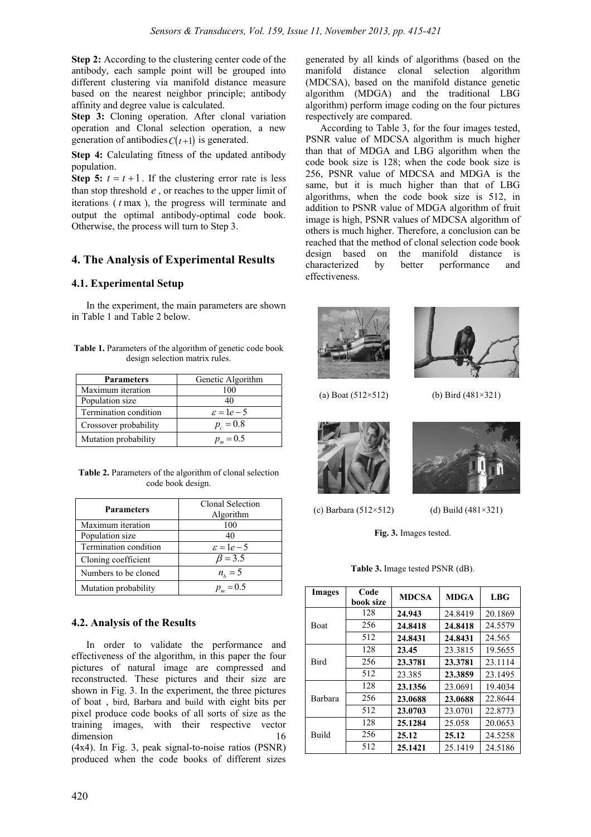**Step 2:** According to the clustering center code of the antibody, each sample point will be grouped into different clustering via manifold distance measure based on the nearest neighbor principle; antibody affinity and degree value is calculated.

**Step 3:** Cloning operation. After clonal variation operation and Clonal selection operation, a new generation of antibodies  $C(t+1)$  is generated.

**Step 4:** Calculating fitness of the updated antibody population.

**Step 5:**  $t = t + 1$ . If the clustering error rate is less than stop threshold *e* , or reaches to the upper limit of iterations ( *t* max ), the progress will terminate and output the optimal antibody-optimal code book. Otherwise, the process will turn to Step 3.

# **4. The Analysis of Experimental Results**

# **4.1. Experimental Setup**

In the experiment, the main parameters are shown in Table 1 and Table 2 below.

**Table 1.** Parameters of the algorithm of genetic code book design selection matrix rules.

| <b>Parameters</b>     | Genetic Algorithm    |  |  |
|-----------------------|----------------------|--|--|
| Maximum iteration     | 100                  |  |  |
| Population size       | 40                   |  |  |
| Termination condition | $\varepsilon = 1e-5$ |  |  |
| Crossover probability | $p_c = 0.8$          |  |  |
| Mutation probability  | $p_m = 0.5$          |  |  |

**Table 2.** Parameters of the algorithm of clonal selection code book design.

| <b>Parameters</b>     | Clonal Selection<br>Algorithm |
|-----------------------|-------------------------------|
| Maximum iteration     | 100                           |
| Population size       | 40                            |
| Termination condition | $\varepsilon = 1e-5$          |
| Cloning coefficient   | $\beta = 3.5$                 |
| Numbers to be cloned  | $n_h = 5$                     |
| Mutation probability  | $p_m = 0.5$                   |

# **4.2. Analysis of the Results**

In order to validate the performance and effectiveness of the algorithm, in this paper the four pictures of natural image are compressed and reconstructed. These pictures and their size are shown in Fig. 3. In the experiment, the three pictures of boat , bird, Barbara and build with eight bits per pixel produce code books of all sorts of size as the training images, with their respective vector dimension 16 (4x4). In Fig. 3, peak signal-to-noise ratios (PSNR) produced when the code books of different sizes

generated by all kinds of algorithms (based on the manifold distance clonal selection algorithm (MDCSA), based on the manifold distance genetic algorithm (MDGA) and the traditional LBG algorithm) perform image coding on the four pictures respectively are compared.

According to Table 3, for the four images tested, PSNR value of MDCSA algorithm is much higher than that of MDGA and LBG algorithm when the code book size is 128; when the code book size is 256, PSNR value of MDCSA and MDGA is the same, but it is much higher than that of LBG algorithms, when the code book size is 512, in addition to PSNR value of MDGA algorithm of fruit image is high, PSNR values of MDCSA algorithm of others is much higher. Therefore, a conclusion can be reached that the method of clonal selection code book design based on the manifold distance is characterized by better performance and effectiveness.





(a) Boat (512×512) (b) Bird (481×321)





(c) Barbara (512×512) (d) Build (481×321)

**Fig. 3.** Images tested.

| <b>Images</b> | Code<br>book size | <b>MDCSA</b> | <b>MDGA</b> | LBG     |
|---------------|-------------------|--------------|-------------|---------|
| <b>Boat</b>   | 128               | 24.943       | 24.8419     | 20.1869 |
|               | 256               | 24.8418      | 24.8418     | 24.5579 |
|               | 512               | 24.8431      | 24.8431     | 24.565  |
| <b>Bird</b>   | 128               | 23.45        | 23.3815     | 19.5655 |
|               | 256               | 23.3781      | 23.3781     | 23.1114 |
|               | 512               | 23.385       | 23.3859     | 23.1495 |
| Barbara       | 128               | 23.1356      | 23.0691     | 19.4034 |
|               | 256               | 23.0688      | 23.0688     | 22.8644 |
|               | 512               | 23.0703      | 23.0701     | 22.8773 |
| Build         | 128               | 25.1284      | 25.058      | 20.0653 |
|               | 256               | 25.12        | 25.12       | 24.5258 |
|               | 512               | 25.1421      | 25.1419     | 24.5186 |

**Table 3.** Image tested PSNR (dB).